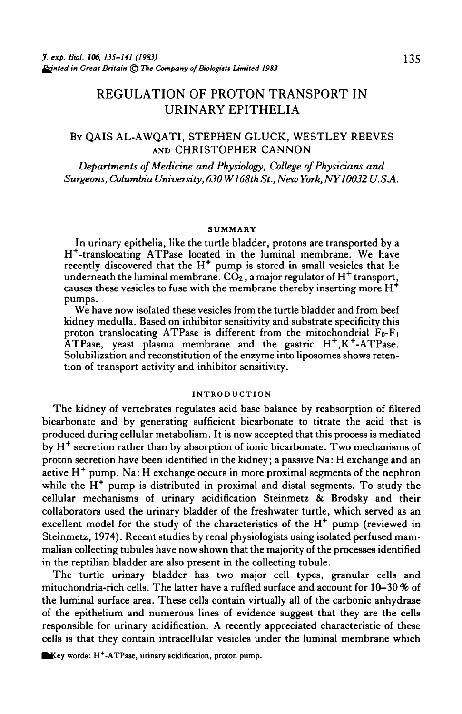# REGULATION OF PROTON TRANSPORT IN URINARY EPITHELIA

### BY QAIS AL-AWQATI, STEPHEN GLUCK, WESTLEY REEVES AND CHRISTOPHER CANNON

*Departments of Medicine and Physiology, College of Physicians and Surgeons, Columbia University, 630* W*168th St., New York, NY 10032 U.SA.*

#### **SUMMARY**

In urinary epithelia, like the turtle bladder, protons are transported by a H+ -translocating ATPase located in the luminal membrane. We have recently discovered that the  $H^+$  pump is stored in small vesicles that lie underneath the luminal membrane.  $CO<sub>2</sub>$ , a major regulator of  $H<sup>+</sup>$  transport, causes these vesicles to fuse with the membrane thereby inserting more  $H^+$ pumps.

We have now isolated these vesicles from the turtle bladder and from beef kidney medulla. Based on inhibitor sensitivity and substrate specificity this proton translocating ATPase is different from the mitochondrial  $F_0-F_1$ ATPase, yeast plasma membrane and the gastric H<sup>+</sup>, K<sup>+</sup>-ATPase.<br>Solubilization and reconstitution of the enzyme into liposomes shows reten-<br>tion of transport activity and inhibitor sensitivity.

#### **INTRODUCTION**

The kidney of vertebrates regulates acid base balance by reabsorption of filtered bicarbonate and by generating sufficient bicarbonate to titrate the acid that is produced during cellular metabolism. It is now accepted that this process is mediated .<br>by H<sup>+</sup> secretion rather than by absorption of ionic bicarbonate. Two mechanisms of proton secretion have been identified in the kidney; a passive Na: H exchange and an active H<sup>+</sup> pump. Na: H exchange occurs in more proximal segments of the nephron while the  $H^+$  pump is distributed in proximal and distal segments. To study the cellular mechanisms of urinary acidification Steinmetz  $\tilde{\alpha}$  Brodsky and their collaborators used the urinary bladder of the freshwater turtle, which served as an excellent model for the study of the characteristics of the  $H^+$  pump (reviewed in Steinmetz, 1974). Recent studies by renal physiologists using isolated perfused mammalian collecting tubules have now shown that the majority of the processes identified in the reptilian bladder are also present in the collecting tubule.

The turtle urinary bladder has two major cell types, granular cells and mitochondria-rich cells. The latter have a ruffled surface and account for  $10-30\%$  of the luminal surface area. These cells contain virtually all of the carbonic anhydrase of the epithelium and numerous lines of evidence suggest that they are the cells responsible for urinary acidification. A recently appreciated characteristic of these cells is that they contain intracellular vesicles under the luminal membrane which

words: H+ -ATPa8e, urinary acidification, proton pump.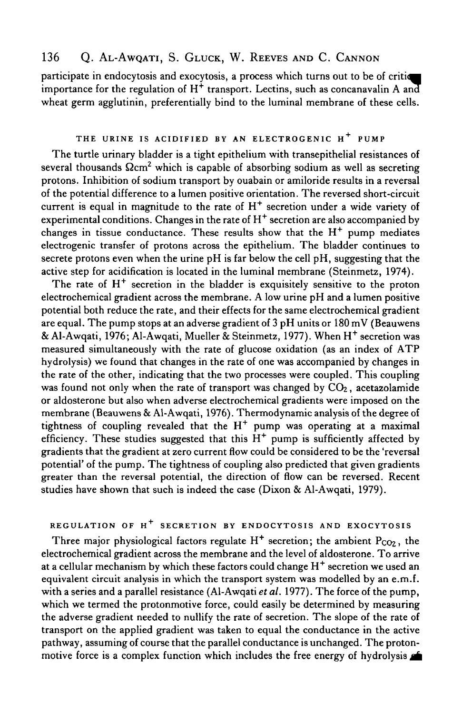# 136 Q. AL-AWQATI, S. GLUCK, W. REEVES AND C. CANNON

participate in endocytosis and exocytosis, a process which turns out to be of criti importance for the regulation of  $H^+$  transport. Lectins, such as concanavalin A an wheat germ agglutinin, preferentially bind to the luminal membrane of these cells.

#### **THE URINE IS ACIDIFIED BY AN ELECTROGENIC H<sup>+</sup> PUMP**

The turtle urinary bladder is a tight epithelium with transepithelial resistances of several thousands  $\Omega$ cm<sup>2</sup> which is capable of absorbing sodium as well as secreting protons. Inhibition of sodium transport by ouabain or amiloride results in a reversal of the potential difference to a lumen positive orientation. The reversed short-circuit current is equal in magnitude to the rate of  $H^+$  secretion under a wide variety of experimental conditions. Changes in the rate of  $H^+$  secretion are also accompanied by changes in tissue conductance. These results show that the  $H^+$  pump mediates electrogenic transfer of protons across the epithelium. The bladder continues to secrete protons even when the urine  $pH$  is far below the cell  $pH$ , suggesting that the active step for acidification is located in the luminal membrane (Steinmetz, 1974).

The rate of  $H^+$  secretion in the bladder is exquisitely sensitive to the proton electrochemical gradient across the membrane. A low urine pH and a lumen positive potential both reduce the rate, and their effects for the same electrochemical gradient are equal. The pump stops at an adverse gradient of 3 pH units or 180 mV (Beauwens & Al-Awqati, 1976; Al-Awqati, Mueller & Steinmetz, 1977). When H<sup>+</sup> secretion was measured simultaneously with the rate of glucose oxidation (as an index of ATP hydrolysis) we found that changes in the rate of one was accompanied by changes in the rate of the other, indicating that the two processes were coupled. This coupling was found not only when the rate of transport was changed by  $CO<sub>2</sub>$ , acetazolamide or aldosterone but also when adverse electrochemical gradients were imposed on the membrane (Beauwens & Al-Awqati, 1976). Thermodynamic analysis of the degree of tightness of coupling revealed that the  $H^+$  pump was operating at a maximal efficiency. These studies suggested that this  $H^+$  pump is sufficiently affected by gradients that the gradient at zero current flow could be considered to be the 'reversal potential' of the pump. The tightness of coupling also predicted that given gradients greater than the reversal potential, the direction of flow can be reversed. Recent studies have shown that such is indeed the case (Dixon & Al-Awqati, 1979).

#### **REGULATION OF H<sup>+</sup> SECRETION BY ENDOCYTOSIS AND EXOCYTOSIS**

Three major physiological factors regulate  $H^+$  secretion; the ambient  $P_{CO2}$ , the electrochemical gradient across the membrane and the level of aldosterone. To arrive at a cellular mechanism by which these factors could change  $\mathrm{H}^{+}$  secretion we used an equivalent circuit analysis in which the transport system was modelled by an e.m.f. with a series and a parallel resistance (Al-Awqati *et al.* 1977). The force of the pump, which we termed the protonmotive force, could easily be determined by measuring the adverse gradient needed to nullify the rate of secretion. The slope of the rate of transport on the applied gradient was taken to equal the conductance in the active pathway, assuming of course that the parallel conductance is unchanged. The protonmotive force is a complex function which includes the free energy of hydrolysis  $\blacktriangle$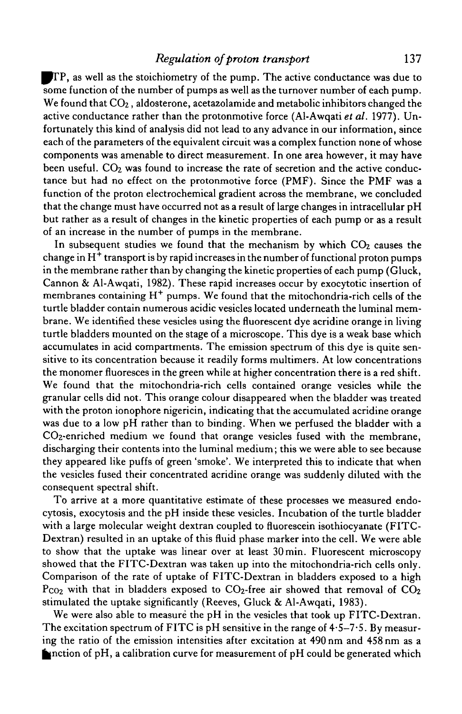### *Regulation of proton transport* 137

ITP, as well as the stoichiometry of the pump. The active conductance was due to some function of the number of pumps as well as the turnover number of each pump. We found that CO<sub>2</sub>, aldosterone, acetazolamide and metabolic inhibitors changed the active conductance rather than the protonmotive force (Al-Awqati *et al.* 1977). Unfortunately this kind of analysis did not lead to any advance in our information, since each of the parameters of the equivalent circuit was a complex function none of whose components was amenable to direct measurement. In one area however, it may have been useful.  $CO<sub>2</sub>$  was found to increase the rate of secretion and the active conductance but had no effect on the protonmotive force (PMF). Since the PMF was a function of the proton electrochemical gradient across the membrane, we concluded that the change must have occurred not as a result of large changes in intracellular pH but rather as a result of changes in the kinetic properties of each pump or as a result of an increase in the number of pumps in the membrane.

In subsequent studies we found that the mechanism by which  $CO<sub>2</sub>$  causes the change in  $\text{H}^{\ddag}$  transport is by rapid increases in the number of functional proton pumps in the membrane rather than by changing the kinetic properties of each pump (Gluck, Cannon & Al-Awqati, 1982). These rapid increases occur by exocytotic insertion of membranes containing H<sup>+</sup> pumps. We found that the mitochondria-rich cells of the turtle bladder contain numerous acidic vesicles located underneath the luminal membrane. We identified these vesicles using the fluorescent dye acridine orange in living turtle bladders mounted on the stage of a microscope. This dye is a weak base which accumulates in acid compartments. The emission spectrum of this dye is quite sensitive to its concentration because it readily forms multimers. At low concentrations the monomer fluoresces in the green while at higher concentration there is a red shift. We found that the mitochondria-rich cells contained orange vesicles while the granular cells did not. This orange colour disappeared when the bladder was treated with the proton ionophore nigericin, indicating that the accumulated acridine orange was due to a low pH rather than to binding. When we perfused the bladder with a CO2-enriched medium we found that orange vesicles fused with the membrane, discharging their contents into the luminal medium; this we were able to see because they appeared like puffs of green 'smoke'. We interpreted this to indicate that when the vesicles fused their concentrated acridine orange was suddenly diluted with the consequent spectral shift.

To arrive at a more quantitative estimate of these processes we measured endocytosis, exocytosis and the pH inside these vesicles. Incubation of the turtle bladder with a large molecular weight dextran coupled to fluorescein isothiocyanate (FITC-Dextran) resulted in an uptake of this fluid phase marker into the cell. We were able to show that the uptake was linear over at least 30min. Fluorescent microscopy showed that the FITC-Dextran was taken up into the mitochondria-rich cells only. Comparison of the rate of uptake of FITC-Dextran in bladders exposed to a high  $P_{CO2}$  with that in bladders exposed to  $CO_2$ -free air showed that removal of  $CO_2$ stimulated the uptake significantly (Reeves, Gluck & Al-Awqati, 1983).

We were also able to measure the pH in the vesicles that took up FITC-Dextran. The excitation spectrum of FITC is pH sensitive in the range of 4-5-7-5. By measuring the ratio of the emission intensities after excitation at 490 nm and 458 nm as a  $\blacksquare$ nction of pH, a calibration curve for measurement of pH could be generated which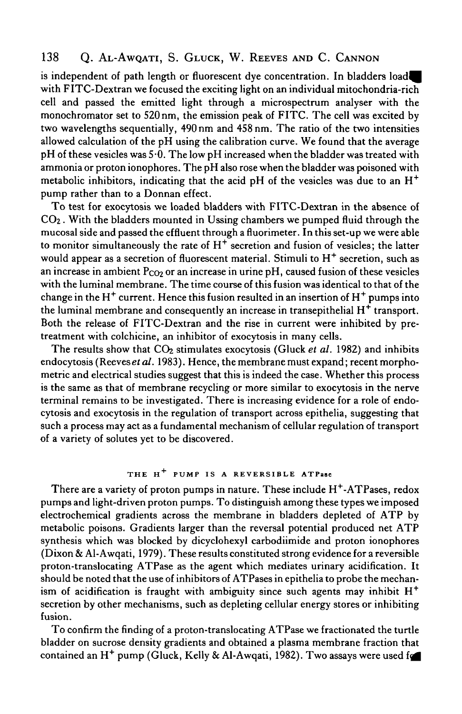## 138 Q. AL-AWQATI, S. GLUCK, W. REEVES AND C. CANNON

is independent of path length or fluorescent dye concentration. In bladders with FITC-Dextran we focused the exciting light on an individual mitochondria-rich cell and passed the emitted light through a microspectrum analyser with the monochromator set to 520 nm, the emission peak of FITC. The cell was excited by two wavelengths sequentially, 490 nm and 458 nm. The ratio of the two intensities allowed calculation of the pH using the calibration curve. We found that the average pH of these vesicles was 5-0. The low pH increased when the bladder was treated with ammonia or proton ionophores. The pH also rose when the bladder was poisoned with metabolic inhibitors, indicating that the acid pH of the vesicles was due to an  $H<sup>+</sup>$ pump rather than to a Donnan effect.

To test for exocytosis we loaded bladders with FITC-Dextran in the absence of CO2. With the bladders mounted in Ussing chambers we pumped fluid through the mucosal side and passed the effluent through a fluorimeter. In this set-up we were able to monitor simultaneously the rate of  $H^+$  secretion and fusion of vesicles; the latter would appear as a secretion of fluorescent material. Stimuli to  $H^+$  secretion, such as an increase in ambient  $P_{CO<sub>2</sub>}$  or an increase in urine pH, caused fusion of these vesicles with the luminal membrane. The time course of this fusion was identical to that of the change in the H $^+$  current. Hence this fusion resulted in an insertion of H $^+$  pumps into the luminal membrane and consequently an increase in transepithelial  $H^+$  transport. Both the release of FITC-Dextran and the rise in current were inhibited by pretreatment with colchicine, an inhibitor of exocytosis in many cells.

The results show that CO<sub>2</sub> stimulates exocytosis (Gluck et al. 1982) and inhibits endocytosis (Reevesef *al.* 1983). Hence, the membrane must expand; recent morphometric and electrical studies suggest that this is indeed the case. Whether this process is the same as that of membrane recycling or more similar to exocytosis in the nerve terminal remains to be investigated. There is increasing evidence for a role of endocytosis and exocytosis in the regulation of transport across epithelia, suggesting that such a process may act as a fundamental mechanism of cellular regulation of transport of a variety of solutes yet to be discovered.

## THE H<sup>+</sup> PUMP IS A REVERSIBLE ATPase

There are a variety of proton pumps in nature. These include  $\mathrm{H}^{+}\text{-}\mathrm{ATP}$ ases, redox pumps and light-driven proton pumps. To distinguish among these types we imposed electrochemical gradients across the membrane in bladders depleted of ATP by metabolic poisons. Gradients larger than the reversal potential produced net ATP synthesis which was blocked by dicyclohexyl carbodiimide and proton ionophores (Dixon & Al-Awqati, 1979). These results constituted strong evidence for a reversible proton-translocating ATPase as the agent which mediates urinary acidification. It should be noted that the use of inhibitors of ATPases in epithelia to probe the mechanism of acidification is fraught with ambiguity since such agents may inhibit  $H^+$ secretion by other mechanisms, such as depleting cellular energy stores or inhibiting fusion.

To confirm the finding of a proton-translocating ATPase we fractionated the turtle bladder on sucrose density gradients and obtained a plasma membrane fraction that contained an H<sup>+</sup> pump (Gluck, Kelly & Al-Awqati, 1982). Two assays were used for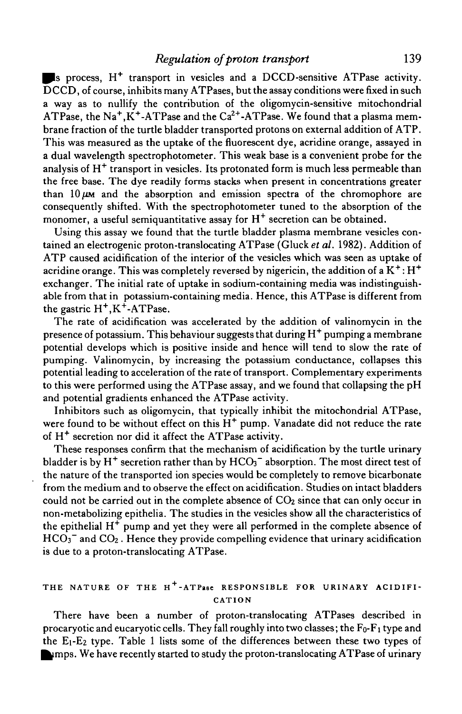s process, H<sup>+</sup> transport in vesicles and a DCCD-sensitive ATPase activity. DCCD, of course, inhibits many ATPases, but the assay conditions were fixed in such a way as to nullify the contribution of the oligomycin-sensitive mitochondrial ATPase, the Na<sup>+</sup>, K<sup>+</sup>-ATPase and the Ca<sup>2+</sup>-ATPase. We found that a plasma membrane fraction of the turtle bladder transported protons on external addition of ATP. This was measured as the uptake of the fluorescent dye, acridine orange, assayed in a dual wavelength spectrophotometer. This weak base is a convenient probe for the analysis of  $H^+$  transport in vesicles. Its protonated form is much less permeable than the free base. The dye readily forms stacks when present in concentrations greater than  $10 \mu$ M and the absorption and emission spectra of the chromophore are consequently shifted. With the spectrophotometer tuned to the absorption of the monomer, a useful semiquantitative assay for  $H^+$  secretion can be obtained.

Using this assay we found that the turtle bladder plasma membrane vesicles contained an electrogenic proton-translocating ATPase (Gluck *et al.* 1982). Addition of ATP caused acidification of the interior of the vesicles which was seen as uptake of acridine orange. This was completely reversed by nigericin, the addition of a  $\rm K^{+}\!:\!H^{+}$ exchanger. The initial rate of uptake in sodium-containing media was indistinguishable from that in potassium-containing media. Hence, this ATPase is different from the gastric  $H^+, K^+$ -ATPase.

The rate of acidification was accelerated by the addition of valinomycin in the presence of potassium. This behaviour suggests that during  $\mathrm{H}^{+}$  pumping a membrane potential develops which is positive inside and hence will tend to slow the rate of pumping. Valinomycin, by increasing the potassium conductance, collapses this potential leading to acceleration of the rate of transport. Complementary experiments to this were performed using the ATPase assay, and we found that collapsing the pH and potential gradients enhanced the ATPase activity.

Inhibitors such as oligomycin, that typically inhibit the mitochondrial ATPase, were found to be without effect on this  $H^+$  pump. Vanadate did not reduce the rate of H<sup>+</sup> secretion nor did it affect the ATPase activity.

These responses confirm that the mechanism of acidification by the turtle urinary bladder is by H<sup>+</sup> secretion rather than by HCO<sub>3</sub> $^-$  absorption. The most direct test of the nature of the transported ion species would be completely to remove bicarbonate from the medium and to observe the effect on acidification. Studies on intact bladders could not be carried out in the complete absence of  $CO<sub>2</sub>$  since that can only occur in non-metabolizing epithelia. The studies in the vesicles show all the characteristics of the epithelial  $H^+$  pump and yet they were all performed in the complete absence of  $HCO<sub>3</sub><sup>-</sup>$  and  $CO<sub>2</sub>$ . Hence they provide compelling evidence that urinary acidification is due to a proton-translocating ATPase.

### THE NATURE OF THE H<sup>+</sup>-ATPase RESPONSIBLE FOR URINARY ACIDIFI-**CATION**

There have been a number of proton-translocating ATPases described in procaryotic and eucaryotic cells. They fall roughly into two classes; the  $F_0-F_1$  type and the  $E_1-E_2$  type. Table 1 lists some of the differences between these two types of  $\blacktriangleright$  mps. We have recently started to study the proton-translocating ATPase of urinary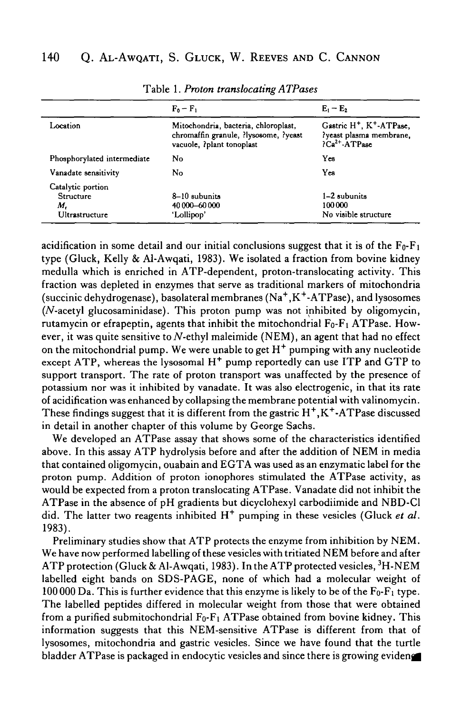|                                                        | $F_0 - F_1$                                                                                                | $E_1 - E_2$                                                                                                 |
|--------------------------------------------------------|------------------------------------------------------------------------------------------------------------|-------------------------------------------------------------------------------------------------------------|
| Location                                               | Mitochondria, bacteria, chloroplast,<br>chromaffin granule, ?lysosome, ?yeast<br>vacuole, ?plant tonoplast | Gastric H <sup>+</sup> , K <sup>+</sup> -ATPase,<br>?yeast plasma membrane,<br>$\overline{C}a^{2+}$ -ATPase |
| Phosphorylated intermediate                            | No                                                                                                         | Yes                                                                                                         |
| Vanadate sensitivity                                   | No                                                                                                         | Yes                                                                                                         |
| Catalytic portion<br>Structure<br>М.<br>Ultrastructure | 8-10 subunits<br>40 000 - 60 000<br>'Lollipop'                                                             | 1-2 subunits<br>100000<br>No visible structure                                                              |

Table 1. *Proton translocating ATPases*

acidification in some detail and our initial conclusions suggest that it is of the  $F_0-F_1$ type (Gluck, Kelly & Al-Awqati, 1983). We isolated a fraction from bovine kidney medulla which is enriched in ATP-dependent, proton-translocating activity. This fraction was depleted in enzymes that serve as traditional markers of mitochondria (succinic dehydrogenase), basolateral membranes (Na<sup>+</sup>, K<sup>+</sup>-ATPase), and lysosomes  $(N$ -acetyl glucosaminidase). This proton pump was not inhibited by oligomycin, rutamycin or efrapeptin, agents that inhibit the mitochondrial  $F_0-F_1$  ATPase. However, it was quite sensitive to N-ethyl maleimide (NEM), an agent that had no effect on the mitochondrial pump. We were unable to get  $H^+$  pumping with any nucleotide  $\epsilon$  except ATP, whereas the lysosomal H<sup>+</sup> pump reportedly can use ITP and GTP to support transport. The rate of proton transport was unaffected by the presence of potassium nor was it inhibited by vanadate. It was also electrogenic, in that its rate of acidification was enhanced by collapsing the membrane potential with valinomycin. These findings suggest that it is different from the gastric  $H^+, K^-.$ ATPase discussed in detail in another chapter of this volume by George Sachs.

We developed an ATPase assay that shows some of the characteristics identified above. In this assay ATP hydrolysis before and after the addition of NEM in media that contained oligomycin, ouabain and EGTA was used as an enzymatic label for the proton pump. Addition of proton ionophores stimulated the ATPase activity, as would be expected from a proton translocating ATPase. Vanadate did not inhibit the ATPase in the absence of pH gradients but dicyclohexyl carbodiimide and NBD-Cl did. The latter two reagents inhibited H<sup>+</sup> pumping in these vesicles (Gluck et al. 1983).

Preliminary studies show that ATP protects the enzyme from inhibition by NEM. We have now performed labelling of these vesicles with tritiated NEM before and after ATP protection (Gluck & Al-Awqati, 1983). In the ATP protected vesicles,  $^3{\rm H\text{-}NEM}$ labelled eight bands on SDS-PAGE, none of which had a molecular weight of 100 000 Da. This is further evidence that this enzyme is likely to be of the  $F_0-F_1$  type. The labelled peptides differed in molecular weight from those that were obtained from a purified submitochondrial  $F_0-F_1$  ATPase obtained from bovine kidney. This information suggests that this NEM-sensitive ATPase is different from that of lysosomes, mitochondria and gastric vesicles. Since we have found that the turtle bladder ATPase is packaged in endocytic vesicles and since there is growing evidence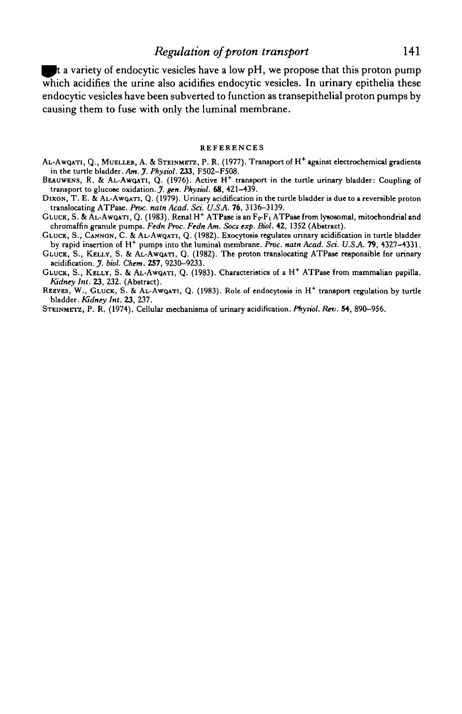#### *Regulation of proton transport* 141

 $\blacksquare$  t a variety of endocytic vesicles have a low pH, we propose that this proton pump which acidifies the urine also acidifies endocytic vesicles. In urinary epithelia these endocytic vesicles have been subverted to function as transepithelial proton pumps by causing them to fuse with only the luminal membrane.

#### REFERENCES

- AL-AWQATI, Q., MUELLER, A. & STEINMETZ, P. R. (1977). Transport of H<sup>+</sup> against electrochemical gradients in the turtle bladder. *Am.J. Physiol.* **233,** F502-F508.
- BEAUWENS, R. & AL-AWQATI, Q. (1976). Active H<sup>+</sup> transport in the turtle urinary bladder: Coupling of transport to glucose oxidation. *J. gen. Physiol.* 68, 421-439.
- DIXON, T. E. & AL-AWQATI, Q. (1979). Urinary acidification in the turtle bladder is due to a reversible proton translocating ATPase. *Proc. natn Acad. Sci. U.SA.* 76, 3136-3139.
- GLUCK, S. & AL-AWQATI, Q. (1983). Renal H+ ATPase is an  $\rm{F_{O}F_{1}}$  ATPase from lysosomal, mitochondrial and chromaffin granule pumps. *Fedn Proc. Fedn Am. Socs exp. Biol.* 42, 1352 (Abstract).
- GLUCK, S., CANNON, C. & AL-AWQATI, Q. (1982). Exocytosis regulates urinary acidification in turtle bladder by rapid insertion of H<sup>+</sup> pumps into the luminal membrane. Proc. natn Acad. Sci. U.S.A. 79, 4327-4331.
- GLUCK, S., KELLY, S. & AL-AWQATI, Q. (1982). The proton translocating ATPase responsible for urinary acidification. J. *biol. Chem.* **257,** 9230-9233.
- GLUCK, S., KELLY, S. & AL-AWQATI, Q. (1983). Characteristics of a H<sup>+</sup> ATPase from mammalian papilla. *Kidney Int.* **23,** 232. (Abstract).
- REEVES, W., GLUCK, S. & AL-AwQATI, Q. (1983). Role of endocytosis in H<sup>+</sup> transport regulation by turtle bladder. *Kidney Int.* **23,** 237.
- STEINMETZ, P. R. (1974). Cellular mechanisms of urinary acidification. *Physiol. Rev.* 54, 890-956.